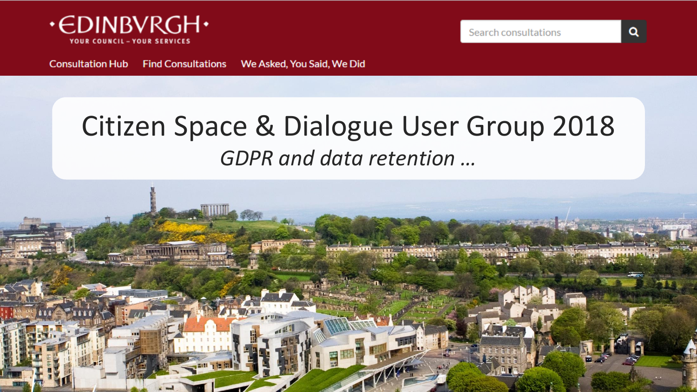

**Consultation Hub Find Consultations** We Asked, You Said, We Did

### Citizen Space & Dialogue User Group 2018 *GDPR and data retention …*



Q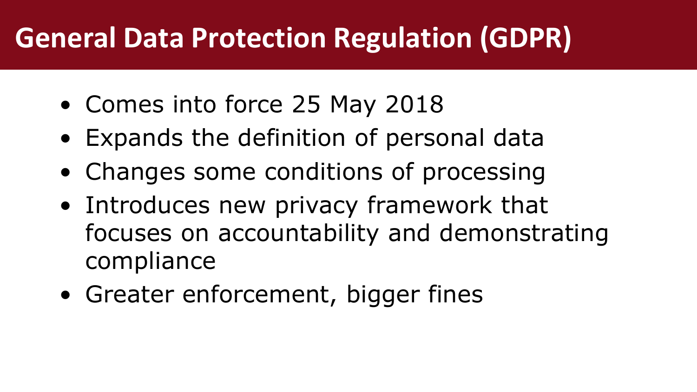# **General Data Protection Regulation (GDPR)**

- Comes into force 25 May 2018
- Expands the definition of personal data
- Changes some conditions of processing
- Introduces new privacy framework that focuses on accountability and demonstrating compliance
- Greater enforcement, bigger fines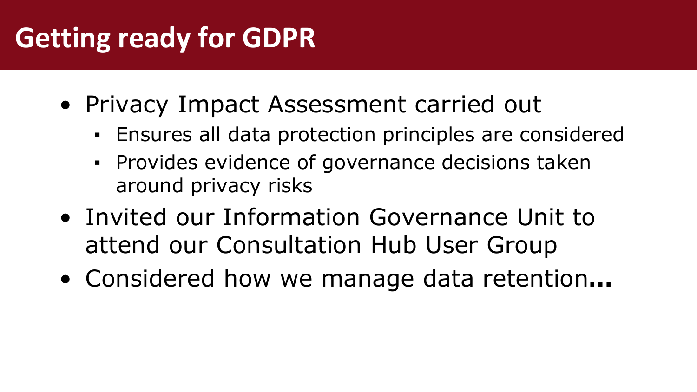# **Getting ready for GDPR**

- Privacy Impact Assessment carried out
	- Ensures all data protection principles are considered
	- **Provides evidence of governance decisions taken** around privacy risks
- Invited our Information Governance Unit to attend our Consultation Hub User Group
- Considered how we manage data retention**…**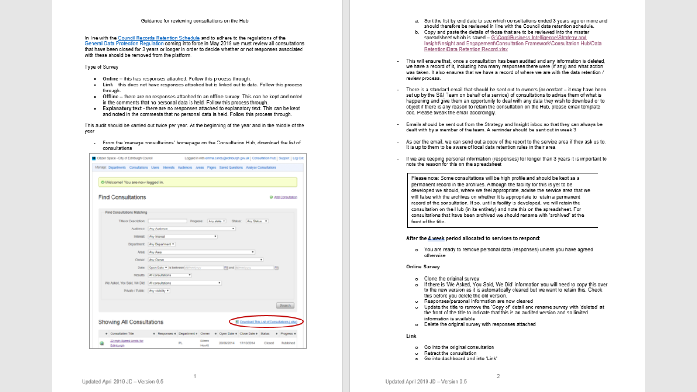### Guidance for reviewing consultations on the Hub

In line with the Council Records Retention Schedule and to adhere to the regulations of the General Data Protection Regulation coming into force in May 2018 we must review all consultations that have been closed for 3 years or longer in order to decide whether or not responses associated with these should be removed from the platform.

Type of Survey

- . Online this has responses attached. Follow this process through.
- . Link this does not have responses attached but is linked out to data. Follow this process through.
- . Offline there are no responses attached to an offline survey. This can be kept and noted in the comments that no personal data is held. Follow this process through.
- . Explanatory text there are no responses attached to explanatory text. This can be kept and noted in the comments that no personal data is held. Follow this process through.

This audit should be carried out twice per year. At the beginning of the year and in the middle of the year

- From the 'manage consultations' homepage on the Consultation Hub, download the list of consultations

| Citizen Space - City of Edinburgh Council                                                                     |                                           |           |                       | Logged in with emma.candy@edinburgh.gov.uk   Consultation Hub   Support   Log Out |                                                     |        |                    |
|---------------------------------------------------------------------------------------------------------------|-------------------------------------------|-----------|-----------------------|-----------------------------------------------------------------------------------|-----------------------------------------------------|--------|--------------------|
| Manage: Departments Consultations Users Interests Audiences Areas Pages Saved Questions Analyse Consultations |                                           |           |                       |                                                                                   |                                                     |        |                    |
| O Welcome! You are now logged in.                                                                             |                                           |           |                       |                                                                                   |                                                     |        |                    |
| <b>Find Consultations</b>                                                                                     |                                           |           |                       |                                                                                   |                                                     |        | O Acc Consultation |
| Find Consultations Matching                                                                                   |                                           |           |                       |                                                                                   |                                                     |        |                    |
| Title or Description:                                                                                         |                                           | Progress: |                       | Any state *                                                                       | Status: Any Status .                                |        |                    |
|                                                                                                               | Audience: Any Audience                    |           |                       | ٠                                                                                 |                                                     |        |                    |
| Interest:                                                                                                     | Any Interest                              |           | ٠                     |                                                                                   |                                                     |        |                    |
|                                                                                                               | Department: Any Department                |           |                       |                                                                                   |                                                     |        |                    |
| <b>Area:</b>                                                                                                  | Any Area                                  |           |                       |                                                                                   | ٠                                                   |        |                    |
|                                                                                                               | Owner: Any Owner                          |           |                       |                                                                                   | ٠                                                   |        |                    |
|                                                                                                               | Date: Open Date . Is between intimmivirum |           |                       | Til and international                                                             |                                                     | m      |                    |
|                                                                                                               | Results: At consultations                 | $\bullet$ |                       |                                                                                   |                                                     |        |                    |
| Vie Asked, You Said, VW Did. All consultations                                                                |                                           |           |                       | ٠                                                                                 |                                                     |        |                    |
| Private / Public: Any visibility *                                                                            |                                           |           |                       |                                                                                   |                                                     |        |                    |
|                                                                                                               |                                           |           |                       |                                                                                   |                                                     |        | Search.            |
| Showing All Consultations                                                                                     |                                           |           |                       |                                                                                   | <b>8</b> Download This List of Consultations (1850) |        |                    |
| 4 Consultation Title-                                                                                         |                                           |           |                       | a Responses à Department à Oviner à Open Date à Olose Date à Status               |                                                     |        | 4 Progress 4       |
| 20 mph Speed Limits for<br>Edinburgh                                                                          |                                           | 凯         | Eleen<br><b>Howth</b> | 20/06/2014                                                                        | 17/10/2014                                          | Closed | Published          |

- a. Sort the list by end date to see which consultations ended 3 years ago or more and should therefore be reviewed in line with the Council data retention schedule.
- b. Copy and paste the details of those that are to be reviewed into the master spreadsheet which is saved - G:\Corp\Business Intelligence\Strategy and Insight\Insight and Engagement\Consultation Framework\Consultation Hub\Data Retention\Data Retention Record.xlsx
- This will ensure that, once a consultation has been audited and any information is deleted, we have a record of it, including how many responses there were (if any) and what action was taken. It also ensures that we have a record of where we are with the data retention / review process.
- There is a standard email that should be sent out to owners (or contact it may have been set up by the S&I Team on behalf of a service) of consultations to advise them of what is happening and give them an opportunity to deal with any data they wish to download or to object if there is any reason to retain the consultation on the Hub, please email template doc. Please tweak the email accordingly.
- Emails should be sent out from the Strategy and Insight inbox so that they can always be dealt with by a member of the team. A reminder should be sent out in week 3
- As per the email, we can send out a copy of the report to the service area if they ask us to. It is up to them to be aware of local data retention rules in their area
- If we are keeping personal information (responses) for longer than 3 years it is important to note the reason for this on the spreadsheet

Please note: Some consultations will be high profile and should be kept as a permanent record in the archives. Although the facility for this is yet to be developed we should, where we feel appropriate, advise the service area that we will liaise with the archives on whether it is appropriate to retain a permanent record of the consultation. If so, until a facility is developed, we will retain the consultation on the Hub (in its entirety) and note this on the spreadsheet. For consultations that have been archived we should rename with 'archived' at the front of the title.

### After the 4 week period allocated to services to respond:

o You are ready to remove personal data (responses) unless you have agreed otherwise

### **Online Survey**

- o Clone the original survey
- o If there is 'We Asked, You Said, We Did' information you will need to copy this over to the new version as it is automatically cleared but we want to retain this. Check this before you delete the old version.
- o Responses/personal information are now cleared
- o Update the title to remove the 'Copy of detail and rename survey with 'deleted' at the front of the fitle to indicate that this is an audited version and so limited information is available
- o Delete the original survey with responses attached

Link

- o Go into the original consultation
- o Retract the consultation
- o Go into dashboard and into 'Link'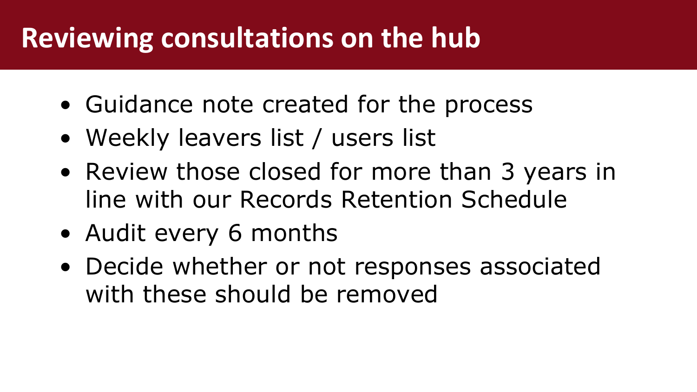# **Reviewing consultations on the hub**

- Guidance note created for the process
- Weekly leavers list / users list
- Review those closed for more than 3 years in line with our Records Retention Schedule
- Audit every 6 months
- Decide whether or not responses associated with these should be removed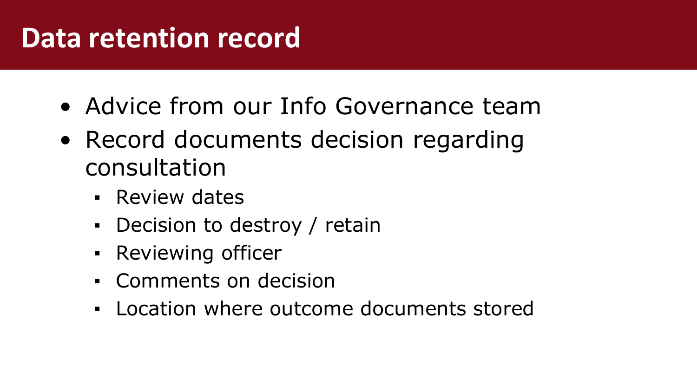### **Data retention record**

- Advice from our Info Governance team
- Record documents decision regarding consultation
	- **E** Review dates
	- Decision to destroy / retain
	- **Reviewing officer**
	- Comments on decision
	- Location where outcome documents stored